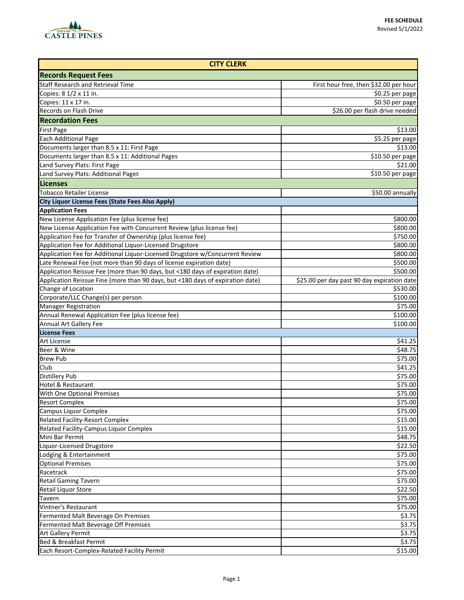

| <b>CITY CLERK</b>                                                              |                                             |  |
|--------------------------------------------------------------------------------|---------------------------------------------|--|
| <b>Records Request Fees</b>                                                    |                                             |  |
| <b>Staff Research and Retrieval Time</b>                                       | First hour free, then \$32.00 per hour      |  |
| Copies: 8 1/2 x 11 in.                                                         | \$0.25 per page                             |  |
| Copies: 11 x 17 in.                                                            | \$0.50 per page                             |  |
| Records on Flash Drive                                                         | \$26.00 per flash drive needed              |  |
| <b>Recordation Fees</b>                                                        |                                             |  |
| <b>First Page</b>                                                              | \$13.00                                     |  |
| <b>Each Additional Page</b>                                                    | \$5.25 per page                             |  |
| Documents larger than 8.5 x 11: First Page                                     | \$13.00                                     |  |
| Documents larger than 8.5 x 11: Additional Pages                               | \$10.50 per page                            |  |
| Land Survey Plats: First Page                                                  | \$21.00                                     |  |
| Land Survey Plats: Additional Pages                                            | $$10.50$ per page                           |  |
| <b>Licenses</b>                                                                |                                             |  |
| <b>Tobacco Retailer License</b>                                                | \$50.00 annually                            |  |
| <b>City Liquor License Fees (State Fees Also Apply)</b>                        |                                             |  |
| <b>Application Fees</b>                                                        |                                             |  |
| New License Application Fee (plus license fee)                                 | \$800.00                                    |  |
| New License Application Fee with Concurrent Review (plus license fee)          | \$800.00                                    |  |
| Application Fee for Transfer of Ownership (plus license fee)                   | \$750.00                                    |  |
| Application Fee for Additional Liquor-Licensed Drugstore                       | \$800.00                                    |  |
| Application Fee for Additional Liquor-Licensed Drugstore w/Concurrent Review   | \$800.00                                    |  |
| Late Renewal Fee (not more than 90 days of license expiration date)            | \$500.00                                    |  |
| Application Reissue Fee (more than 90 days, but <180 days of expiration date)  | \$500.00                                    |  |
| Application Reissue Fine (more than 90 days, but <180 days of expiration date) | \$25.00 per day past 90 day expiration date |  |
| Change of Location                                                             | \$530.00                                    |  |
| Corporate/LLC Change(s) per person                                             | \$100.00                                    |  |
| <b>Manager Registration</b>                                                    | \$75.00                                     |  |
| Annual Renewal Application Fee (plus license fee)                              | \$100.00                                    |  |
| <b>Annual Art Gallery Fee</b>                                                  | \$100.00                                    |  |
| <b>License Fees</b>                                                            |                                             |  |
| <b>Art License</b>                                                             | \$41.25                                     |  |
| Beer & Wine                                                                    | \$48.75                                     |  |
| <b>Brew Pub</b>                                                                | \$75.00                                     |  |
| Club                                                                           | \$41.25                                     |  |
| <b>Distillery Pub</b>                                                          | \$75.00                                     |  |
| <b>Hotel &amp; Restaurant</b>                                                  | \$75.00                                     |  |
| With One Optional Premises                                                     | \$75.00                                     |  |
| <b>Resort Complex</b>                                                          | \$75.00                                     |  |
| Campus Liquor Complex                                                          | \$75.00                                     |  |
| <b>Related Facility-Resort Complex</b>                                         | \$15.00                                     |  |
| Related Facility-Campus Liquor Complex                                         | \$15.00                                     |  |
| Mini Bar Permit                                                                | \$48.75                                     |  |
| Liquor-Licensed Drugstore                                                      | \$22.50                                     |  |
| Lodging & Entertainment                                                        | \$75.00                                     |  |
| <b>Optional Premises</b>                                                       | \$75.00                                     |  |
| Racetrack                                                                      | \$75.00                                     |  |
| <b>Retail Gaming Tavern</b>                                                    | \$75.00                                     |  |
| Retail Liquor Store                                                            | \$22.50                                     |  |
| Tavern                                                                         | \$75.00                                     |  |
| Vintner's Restaurant                                                           | \$75.00                                     |  |
| Fermented Malt Beverage On Premises                                            | \$3.75                                      |  |
| Fermented Malt Beverage Off Premises                                           | \$3.75                                      |  |
| Art Gallery Permit                                                             | \$3.75                                      |  |
| <b>Bed &amp; Breakfast Permit</b>                                              | \$3.75                                      |  |
| Each Resort-Complex-Related Facility Permit                                    | \$15.00                                     |  |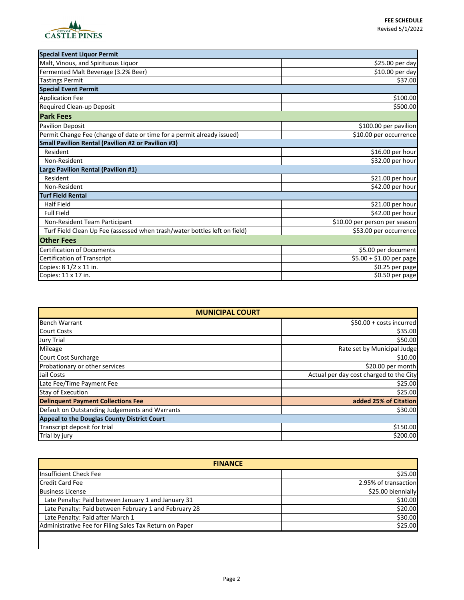

| <b>Special Event Liquor Permit</b>                                        |                               |  |
|---------------------------------------------------------------------------|-------------------------------|--|
| Malt, Vinous, and Spirituous Liquor                                       | \$25.00 per day               |  |
| Fermented Malt Beverage (3.2% Beer)                                       | \$10.00 per day               |  |
| <b>Tastings Permit</b>                                                    | \$37.00                       |  |
| <b>Special Event Permit</b>                                               |                               |  |
| <b>Application Fee</b>                                                    | \$100.00                      |  |
| Required Clean-up Deposit                                                 | \$500.00                      |  |
| <b>Park Fees</b>                                                          |                               |  |
| <b>Pavilion Deposit</b>                                                   | \$100.00 per pavilion         |  |
| Permit Change Fee (change of date or time for a permit already issued)    | \$10.00 per occurrence        |  |
| <b>Small Pavilion Rental (Pavilion #2 or Pavilion #3)</b>                 |                               |  |
| Resident                                                                  | \$16.00 per hour              |  |
| Non-Resident                                                              | \$32.00 per hour              |  |
| Large Pavilion Rental (Pavilion #1)                                       |                               |  |
| Resident                                                                  | \$21.00 per hour              |  |
| Non-Resident                                                              | \$42.00 per hour              |  |
| <b>Turf Field Rental</b>                                                  |                               |  |
| <b>Half Field</b>                                                         | \$21.00 per hour              |  |
| <b>Full Field</b>                                                         | \$42.00 per hour              |  |
| Non-Resident Team Participant                                             | \$10.00 per person per season |  |
| Turf Field Clean Up Fee (assessed when trash/water bottles left on field) | \$53.00 per occurrence        |  |
| <b>Other Fees</b>                                                         |                               |  |
| <b>Certification of Documents</b>                                         | \$5.00 per document           |  |
| Certification of Transcript                                               | \$5.00 + \$1.00 per page      |  |
| Copies: 8 1/2 x 11 in.                                                    | \$0.25 per page               |  |
| Copies: 11 x 17 in.                                                       | $\overline{50.50}$ per page   |  |

| <b>MUNICIPAL COURT</b>                         |                                         |
|------------------------------------------------|-----------------------------------------|
| <b>Bench Warrant</b>                           | \$50.00 + costs incurred                |
| <b>Court Costs</b>                             | \$35.00                                 |
| <b>Jury Trial</b>                              | \$50.00                                 |
| Mileage                                        | Rate set by Municipal Judge             |
| Court Cost Surcharge                           | \$10.00                                 |
| Probationary or other services                 | \$20.00 per month                       |
| Jail Costs                                     | Actual per day cost charged to the City |
| Late Fee/Time Payment Fee                      | \$25.00                                 |
| <b>Stay of Execution</b>                       | \$25.00                                 |
| <b>Delinquent Payment Collections Fee</b>      | added 25% of Citation                   |
| Default on Outstanding Judgements and Warrants | \$30.00                                 |
| Appeal to the Douglas County District Court    |                                         |
| Transcript deposit for trial                   | \$150.00                                |
| Trial by jury                                  | \$200.00                                |

| <b>FINANCE</b>                                          |                      |
|---------------------------------------------------------|----------------------|
| Insufficient Check Fee                                  | \$25.00              |
| <b>Credit Card Fee</b>                                  | 2.95% of transaction |
| <b>Business License</b>                                 | \$25.00 biennially   |
| Late Penalty: Paid between January 1 and January 31     | \$10.00              |
| Late Penalty: Paid between February 1 and February 28   | \$20.00              |
| Late Penalty: Paid after March 1                        | \$30.00              |
| Administrative Fee for Filing Sales Tax Return on Paper | \$25.00              |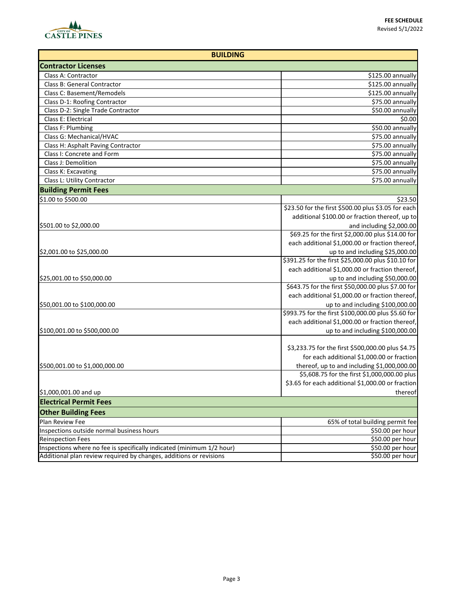

| <b>BUILDING</b>                                                       |                                                     |
|-----------------------------------------------------------------------|-----------------------------------------------------|
| <b>Contractor Licenses</b>                                            |                                                     |
| Class A: Contractor                                                   | \$125.00 annually                                   |
| Class B: General Contractor                                           | \$125.00 annually                                   |
| Class C: Basement/Remodels                                            | \$125.00 annually                                   |
| Class D-1: Roofing Contractor                                         | \$75.00 annually                                    |
| Class D-2: Single Trade Contractor                                    | \$50.00 annually                                    |
| Class E: Electrical                                                   | \$0.00                                              |
| Class F: Plumbing                                                     | \$50.00 annually                                    |
| Class G: Mechanical/HVAC                                              | \$75.00 annually                                    |
| Class H: Asphalt Paving Contractor                                    | \$75.00 annually                                    |
| Class I: Concrete and Form                                            | $\overline{$}$ \$75.00 annually                     |
| Class J: Demolition                                                   | \$75.00 annually                                    |
| Class K: Excavating                                                   | \$75.00 annually                                    |
| Class L: Utility Contractor                                           | \$75.00 annually                                    |
| <b>Building Permit Fees</b>                                           |                                                     |
| \$1.00 to \$500.00                                                    | \$23.50                                             |
|                                                                       | \$23.50 for the first \$500.00 plus \$3.05 for each |
|                                                                       | additional \$100.00 or fraction thereof, up to      |
| \$501.00 to \$2,000.00                                                | and including \$2,000.00                            |
|                                                                       | \$69.25 for the first \$2,000.00 plus \$14.00 for   |
|                                                                       | each additional \$1,000.00 or fraction thereof,     |
| \$2,001.00 to \$25,000.00                                             | up to and including \$25,000.00                     |
|                                                                       | \$391.25 for the first \$25,000.00 plus \$10.10 for |
|                                                                       | each additional \$1,000.00 or fraction thereof,     |
| \$25,001.00 to \$50,000.00                                            | up to and including \$50,000.00                     |
|                                                                       | \$643.75 for the first \$50,000.00 plus \$7.00 for  |
|                                                                       | each additional \$1,000.00 or fraction thereof,     |
| \$50,001.00 to \$100,000.00                                           | up to and including \$100,000.00                    |
|                                                                       | \$993.75 for the first \$100,000.00 plus \$5.60 for |
|                                                                       | each additional \$1,000.00 or fraction thereof,     |
| \$100,001.00 to \$500,000.00                                          | up to and including \$100,000.00                    |
|                                                                       | \$3,233.75 for the first \$500,000.00 plus \$4.75   |
|                                                                       | for each additional \$1,000.00 or fraction          |
| \$500,001.00 to \$1,000,000.00                                        | thereof, up to and including \$1,000,000.00         |
|                                                                       | \$5,608.75 for the first \$1,000,000.00 plus        |
|                                                                       | \$3.65 for each additional \$1,000.00 or fraction   |
| $$1,000,001.00$ and up                                                | thereof                                             |
| <b>Electrical Permit Fees</b>                                         |                                                     |
| <b>Other Building Fees</b>                                            |                                                     |
| Plan Review Fee                                                       | 65% of total building permit fee                    |
| Inspections outside normal business hours                             | \$50.00 per hour                                    |
| <b>Reinspection Fees</b>                                              | \$50.00 per hour                                    |
| Inspections where no fee is specifically indicated (minimum 1/2 hour) | \$50.00 per hour                                    |
| Additional plan review required by changes, additions or revisions    | \$50.00 per hour                                    |
|                                                                       |                                                     |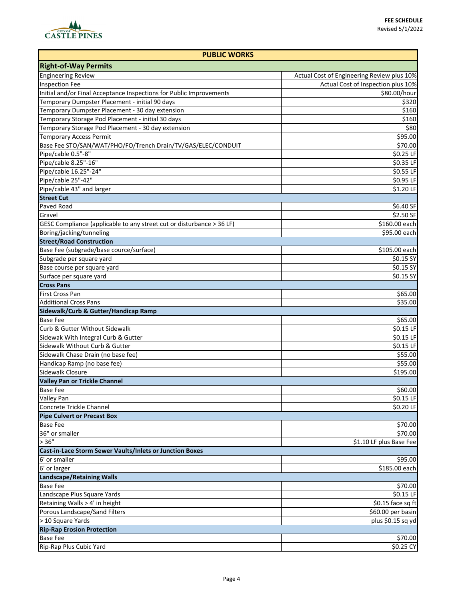

| <b>PUBLIC WORKS</b>                                                   |                                            |
|-----------------------------------------------------------------------|--------------------------------------------|
| <b>Right-of-Way Permits</b>                                           |                                            |
| <b>Engineering Review</b>                                             | Actual Cost of Engineering Review plus 10% |
| <b>Inspection Fee</b>                                                 | Actual Cost of Inspection plus 10%         |
| Initial and/or Final Acceptance Inspections for Public Improvements   | \$80.00/hour                               |
| Temporary Dumpster Placement - initial 90 days                        | \$320                                      |
| Temporary Dumpster Placement - 30 day extension                       | \$160                                      |
| Temporary Storage Pod Placement - initial 30 days                     | \$160                                      |
| Temporary Storage Pod Placement - 30 day extension                    | \$80                                       |
| <b>Temporary Access Permit</b>                                        | \$95.00                                    |
| Base Fee STO/SAN/WAT/PHO/FO/Trench Drain/TV/GAS/ELEC/CONDUIT          | \$70.00                                    |
| Pipe/cable 0.5"-8"                                                    | \$0.25 LF                                  |
| Pipe/cable 8.25"-16"                                                  | \$0.35 LF                                  |
| Pipe/cable 16.25"-24"                                                 | \$0.55 LF                                  |
| Pipe/cable 25"-42"                                                    | \$0.95 LF                                  |
| Pipe/cable 43" and larger                                             | \$1.20 LF                                  |
| <b>Street Cut</b>                                                     |                                            |
| Paved Road                                                            | \$6.40 SF                                  |
| Gravel                                                                | \$2.50 SF                                  |
|                                                                       |                                            |
| GESC Compliance (applicable to any street cut or disturbance > 36 LF) | \$160.00 each                              |
| Boring/jacking/tunneling                                              | \$95.00 each                               |
| <b>Street/Road Construction</b>                                       |                                            |
| Base Fee (subgrade/base cource/surface)                               | \$105.00 each                              |
| Subgrade per square yard                                              | \$0.15 SY                                  |
| Base course per square yard                                           | \$0.15 SY                                  |
| Surface per square yard                                               | \$0.15 SY                                  |
| <b>Cross Pans</b>                                                     |                                            |
| First Cross Pan                                                       | \$65.00                                    |
| <b>Additional Cross Pans</b>                                          | \$35.00                                    |
| Sidewalk/Curb & Gutter/Handicap Ramp                                  |                                            |
| <b>Base Fee</b>                                                       | \$65.00                                    |
| Curb & Gutter Without Sidewalk                                        | \$0.15 LF                                  |
| Sidewak With Integral Curb & Gutter                                   | \$0.15 LF                                  |
| Sidewalk Without Curb & Gutter                                        | \$0.15 LF                                  |
| Sidewalk Chase Drain (no base fee)                                    | \$55.00                                    |
| Handicap Ramp (no base fee)                                           | \$55.00                                    |
| Sidewalk Closure                                                      | \$195.00                                   |
| <b>Valley Pan or Trickle Channel</b>                                  |                                            |
| <b>Base Fee</b>                                                       | \$60.00                                    |
| Valley Pan                                                            | \$0.15 LF                                  |
| Concrete Trickle Channel                                              | \$0.20 LF                                  |
| <b>Pipe Culvert or Precast Box</b>                                    |                                            |
| <b>Base Fee</b>                                                       | \$70.00                                    |
| 36" or smaller                                                        | \$70.00                                    |
| > 36"                                                                 | \$1.10 LF plus Base Fee                    |
| <b>Cast-in-Lace Storm Sewer Vaults/Inlets or Junction Boxes</b>       |                                            |
| 6' or smaller                                                         | \$95.00                                    |
| 6' or larger                                                          | $$185.00$ each                             |
| <b>Landscape/Retaining Walls</b>                                      |                                            |
| <b>Base Fee</b>                                                       | \$70.00                                    |
| Landscape Plus Square Yards                                           | \$0.15 LF                                  |
| Retaining Walls > 4' in height                                        | \$0.15 face sq ft                          |
| Porous Landscape/Sand Filters                                         | \$60.00 per basin                          |
| > 10 Square Yards                                                     | plus \$0.15 sq yd                          |
| <b>Rip-Rap Erosion Protection</b>                                     |                                            |
| <b>Base Fee</b>                                                       | \$70.00                                    |
| Rip-Rap Plus Cubic Yard                                               | \$0.25 CY                                  |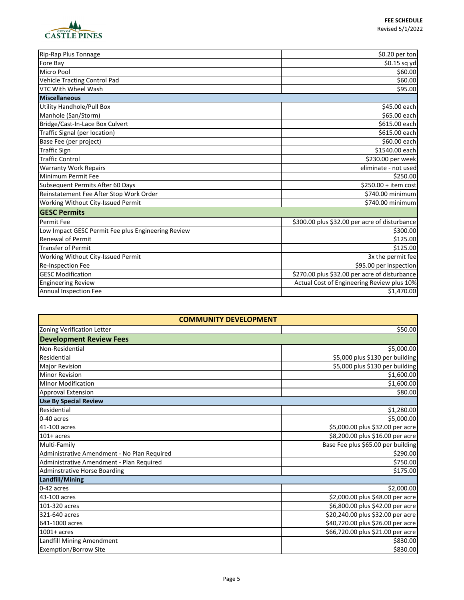

| Rip-Rap Plus Tonnage                               | \$0.20 per ton                                |  |
|----------------------------------------------------|-----------------------------------------------|--|
| Fore Bay                                           | \$0.15 sq yd                                  |  |
| Micro Pool                                         | \$60.00                                       |  |
| Vehicle Tracting Control Pad                       | \$60.00                                       |  |
| VTC With Wheel Wash                                | \$95.00                                       |  |
| <b>Miscellaneous</b>                               |                                               |  |
| <b>Utility Handhole/Pull Box</b>                   | \$45.00 each                                  |  |
| Manhole (San/Storm)                                | \$65.00 each                                  |  |
| Bridge/Cast-In-Lace Box Culvert                    | \$615.00 each                                 |  |
| Traffic Signal (per location)                      | \$615.00 each                                 |  |
| Base Fee (per project)                             | \$60.00 each                                  |  |
| <b>Traffic Sign</b>                                | \$1540.00 each                                |  |
| <b>Traffic Control</b>                             | \$230.00 per week                             |  |
| <b>Warranty Work Repairs</b>                       | eliminate - not used                          |  |
| Minimum Permit Fee                                 | \$250.00                                      |  |
| Subsequent Permits After 60 Days                   | $$250.00 + item cost$                         |  |
| Reinstatement Fee After Stop Work Order            | \$740.00 minimum                              |  |
| Working Without City-Issued Permit                 | \$740.00 minimum                              |  |
| <b>GESC Permits</b>                                |                                               |  |
| <b>Permit Fee</b>                                  | \$300.00 plus \$32.00 per acre of disturbance |  |
| Low Impact GESC Permit Fee plus Engineering Review | \$300.00                                      |  |
| <b>Renewal of Permit</b>                           | \$125.00                                      |  |
| <b>Transfer of Permit</b>                          | \$125.00                                      |  |
| Working Without City-Issued Permit                 | 3x the permit fee                             |  |
| Re-Inspection Fee                                  | \$95.00 per inspection                        |  |
| <b>GESC Modification</b>                           | \$270.00 plus \$32.00 per acre of disturbance |  |
| <b>Engineering Review</b>                          | Actual Cost of Engineering Review plus 10%    |  |
| <b>Annual Inspection Fee</b>                       | \$1,470.00                                    |  |

| <b>COMMUNITY DEVELOPMENT</b>                |                                    |
|---------------------------------------------|------------------------------------|
| Zoning Verification Letter                  | \$50.00                            |
| <b>Development Review Fees</b>              |                                    |
| Non-Residential                             | \$5,000.00                         |
| Residential                                 | \$5,000 plus \$130 per building    |
| <b>Major Revision</b>                       | \$5,000 plus \$130 per building    |
| <b>Minor Revision</b>                       | \$1,600.00                         |
| <b>MInor Modification</b>                   | \$1,600.00                         |
| <b>Approval Extension</b>                   | \$80.00                            |
| <b>Use By Special Review</b>                |                                    |
| Residential                                 | \$1,280.00                         |
| 0-40 acres                                  | \$5,000.00                         |
| 41-100 acres                                | \$5,000.00 plus \$32.00 per acre   |
| $101+$ acres                                | \$8,200.00 plus \$16.00 per acre   |
| Multi-Family                                | Base Fee plus \$65.00 per building |
| Administrative Amendment - No Plan Required | \$290.00                           |
| Administrative Amendment - Plan Required    | \$750.00                           |
| <b>Adminstrative Horse Boarding</b>         | \$175.00                           |
| Landfill/Mining                             |                                    |
| 0-42 acres                                  | \$2,000.00                         |
| 43-100 acres                                | \$2,000.00 plus \$48.00 per acre   |
| 101-320 acres                               | \$6,800.00 plus \$42.00 per acre   |
| 321-640 acres                               | \$20,240.00 plus \$32.00 per acre  |
| 641-1000 acres                              | \$40,720.00 plus \$26.00 per acre  |
| $1001+$ acres                               | \$66,720.00 plus \$21.00 per acre  |
| Landfill Mining Amendment                   | \$830.00                           |
| <b>Exemption/Borrow Site</b>                | \$830.00                           |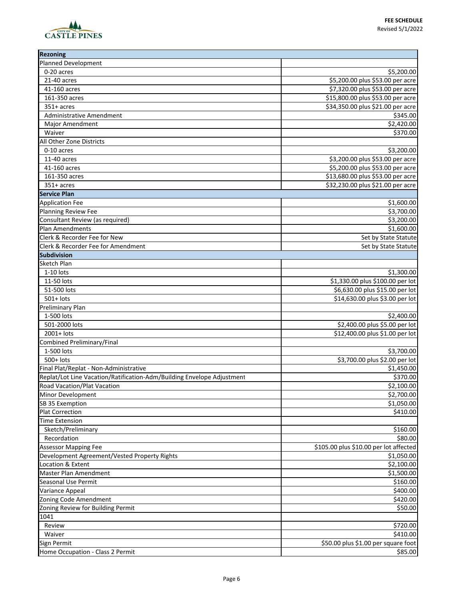## **FEE SCHEDULE** Revised 5/1/2022



| <b>Rezoning</b>                                                        |                                        |
|------------------------------------------------------------------------|----------------------------------------|
| <b>Planned Development</b>                                             |                                        |
| 0-20 acres                                                             | \$5,200.00                             |
| 21-40 acres                                                            | \$5,200.00 plus \$53.00 per acre       |
| 41-160 acres                                                           | \$7,320.00 plus \$53.00 per acre       |
| 161-350 acres                                                          | \$15,800.00 plus \$53.00 per acre      |
| $351+$ acres                                                           | \$34,350.00 plus \$21.00 per acre      |
| <b>Administrative Amendment</b>                                        | \$345.00                               |
| Major Amendment                                                        | \$2,420.00                             |
| Waiver                                                                 | \$370.00                               |
| All Other Zone Districts                                               |                                        |
| 0-10 acres                                                             | \$3,200.00                             |
| 11-40 acres                                                            | \$3,200.00 plus \$53.00 per acre       |
| 41-160 acres                                                           | \$5,200.00 plus \$53.00 per acre       |
|                                                                        | \$13,680.00 plus \$53.00 per acre      |
| 161-350 acres                                                          |                                        |
| $351+$ acres                                                           | \$32,230.00 plus \$21.00 per acre      |
| <b>Service Plan</b>                                                    |                                        |
| <b>Application Fee</b>                                                 | \$1,600.00                             |
| Planning Review Fee                                                    | \$3,700.00                             |
| Consultant Review (as required)                                        | \$3,200.00                             |
| Plan Amendments                                                        | \$1,600.00                             |
| Clerk & Recorder Fee for New                                           | Set by State Statute                   |
| Clerk & Recorder Fee for Amendment                                     | Set by State Statute                   |
| <b>Subdivision</b>                                                     |                                        |
| Sketch Plan                                                            |                                        |
| $1-10$ lots                                                            | \$1,300.00                             |
| 11-50 lots                                                             | \$1,330.00 plus \$100.00 per lot       |
| 51-500 lots                                                            | \$6,630.00 plus \$15.00 per lot        |
| 501+ lots                                                              | \$14,630.00 plus \$3.00 per lot        |
| <b>Preliminary Plan</b>                                                |                                        |
| 1-500 lots                                                             | \$2,400.00                             |
| 501-2000 lots                                                          | \$2,400.00 plus \$5.00 per lot         |
| 2001+ lots                                                             | \$12,400.00 plus \$1.00 per lot        |
| Combined Preliminary/Final                                             |                                        |
| 1-500 lots                                                             | \$3,700.00                             |
| $500+$ lots                                                            | \$3,700.00 plus \$2.00 per lot         |
| Final Plat/Replat - Non-Administrative                                 | \$1,450.00                             |
| Replat/Lot Line Vacation/Ratification-Adm/Building Envelope Adjustment | \$370.00                               |
| Road Vacation/Plat Vacation                                            | $\overline{$}2,100.00$                 |
| Minor Development                                                      | \$2,700.00                             |
| SB 35 Exemption                                                        | \$1,050.00                             |
| <b>Plat Correction</b>                                                 | \$410.00                               |
| <b>Time Extension</b>                                                  |                                        |
| Sketch/Preliminary                                                     | \$160.00                               |
| Recordation                                                            | \$80.00                                |
| <b>Assessor Mapping Fee</b>                                            | \$105.00 plus \$10.00 per lot affected |
| Development Agreement/Vested Property Rights                           | \$1,050.00                             |
|                                                                        |                                        |
| Location & Extent                                                      | \$2,100.00                             |
| Master Plan Amendment                                                  | \$1,500.00                             |
| Seasonal Use Permit                                                    | \$160.00                               |
| Variance Appeal                                                        | \$400.00                               |
| Zoning Code Amendment                                                  | \$420.00                               |
| Zoning Review for Building Permit                                      | \$50.00                                |
| 1041                                                                   |                                        |
| Review                                                                 | \$720.00                               |
| Waiver                                                                 | \$410.00                               |
| Sign Permit                                                            | \$50.00 plus \$1.00 per square foot    |
| Home Occupation - Class 2 Permit                                       | \$85.00                                |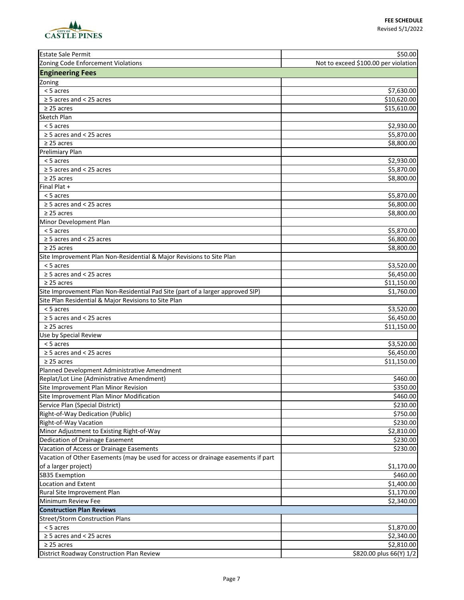

| <b>Estate Sale Permit</b>                                                         | \$50.00                              |
|-----------------------------------------------------------------------------------|--------------------------------------|
| Zoning Code Enforcement Violations                                                | Not to exceed \$100.00 per violation |
| <b>Engineering Fees</b>                                                           |                                      |
| Zoning                                                                            |                                      |
| < 5 acres                                                                         | \$7,630.00                           |
| $\geq$ 5 acres and < 25 acres                                                     | \$10,620.00                          |
| $\geq$ 25 acres                                                                   | \$15,610.00                          |
| Sketch Plan                                                                       |                                      |
| < 5 acres                                                                         | \$2,930.00                           |
| $\geq$ 5 acres and < 25 acres                                                     | \$5,870.00                           |
| $\geq$ 25 acres                                                                   | \$8,800.00                           |
| Prelimiary Plan                                                                   |                                      |
| < 5 acres                                                                         | \$2,930.00                           |
| $\geq$ 5 acres and < 25 acres                                                     | \$5,870.00                           |
| $\geq$ 25 acres                                                                   | \$8,800.00                           |
| Final Plat +                                                                      |                                      |
| < 5 acres                                                                         | \$5,870.00                           |
| $\geq$ 5 acres and < 25 acres                                                     | \$6,800.00                           |
| $\geq$ 25 acres                                                                   | \$8,800.00                           |
| Minor Development Plan                                                            |                                      |
| < 5 acres                                                                         | \$5,870.00                           |
| $\geq$ 5 acres and < 25 acres                                                     | \$6,800.00                           |
| $\geq$ 25 acres                                                                   | \$8,800.00                           |
| Site Improvement Plan Non-Residential & Major Revisions to Site Plan              |                                      |
| < 5 acres                                                                         | \$3,520.00                           |
| $\geq$ 5 acres and < 25 acres                                                     | \$6,450.00                           |
| $\geq$ 25 acres                                                                   | \$11,150.00                          |
| Site Improvement Plan Non-Residential Pad Site (part of a larger approved SIP)    | \$1,760.00                           |
| Site Plan Residential & Major Revisions to Site Plan                              |                                      |
| $\overline{5}$ acres                                                              | \$3,520.00                           |
| $\geq$ 5 acres and < 25 acres                                                     | \$6,450.00                           |
| $\geq$ 25 acres                                                                   | \$11,150.00                          |
| Use by Special Review                                                             |                                      |
| < 5 acres                                                                         | \$3,520.00                           |
| $\geq$ 5 acres and < 25 acres                                                     | \$6,450.00                           |
| $\geq$ 25 acres                                                                   | \$11,150.00                          |
| Planned Development Administrative Amendment                                      |                                      |
| Replat/Lot Line (Administrative Amendment)                                        | \$460.00                             |
| Site Improvement Plan Minor Revision                                              | \$350.00                             |
| Site Improvement Plan Minor Modification                                          | \$460.00                             |
| Service Plan (Special District)                                                   | \$230.00                             |
| Right-of-Way Dedication (Public)                                                  | \$750.00                             |
| Right-of-Way Vacation                                                             | \$230.00                             |
| Minor Adjustment to Existing Right-of-Way                                         | \$2,810.00                           |
| Dedication of Drainage Easement                                                   | \$230.00                             |
| Vacation of Access or Drainage Easements                                          | \$230.00                             |
| Vacation of Other Easements (may be used for access or drainage easements if part |                                      |
| of a larger project)                                                              | \$1,170.00                           |
| <b>SB35 Exemption</b>                                                             | \$460.00                             |
| Location and Extent                                                               | \$1,400.00                           |
| Rural Site Improvement Plan                                                       | \$1,170.00                           |
| Minimum Review Fee                                                                | \$2,340.00                           |
| <b>Construction Plan Reviews</b>                                                  |                                      |
| <b>Street/Storm Construction Plans</b>                                            |                                      |
| < 5 acres                                                                         | \$1,870.00                           |
| $\geq$ 5 acres and < 25 acres                                                     | \$2,340.00                           |
| $\geq$ 25 acres                                                                   | \$2,810.00                           |
| District Roadway Construction Plan Review                                         | \$820.00 plus 66(Y) 1/2              |